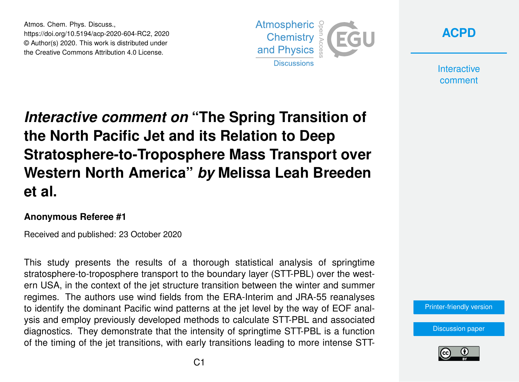Atmos. Chem. Phys. Discuss., https://doi.org/10.5194/acp-2020-604-RC2, 2020 © Author(s) 2020. This work is distributed under the Creative Commons Attribution 4.0 License.





**Interactive** comment

## *Interactive comment on* **"The Spring Transition of the North Pacific Jet and its Relation to Deep Stratosphere-to-Troposphere Mass Transport over Western North America"** *by* **Melissa Leah Breeden et al.**

## **Anonymous Referee #1**

Received and published: 23 October 2020

This study presents the results of a thorough statistical analysis of springtime stratosphere-to-troposphere transport to the boundary layer (STT-PBL) over the western USA, in the context of the jet structure transition between the winter and summer regimes. The authors use wind fields from the ERA-Interim and JRA-55 reanalyses to identify the dominant Pacific wind patterns at the jet level by the way of EOF analysis and employ previously developed methods to calculate STT-PBL and associated diagnostics. They demonstrate that the intensity of springtime STT-PBL is a function of the timing of the jet transitions, with early transitions leading to more intense STT-

[Printer-friendly version](https://acp.copernicus.org/preprints/acp-2020-604/acp-2020-604-RC2-print.pdf)

[Discussion paper](https://acp.copernicus.org/preprints/acp-2020-604)

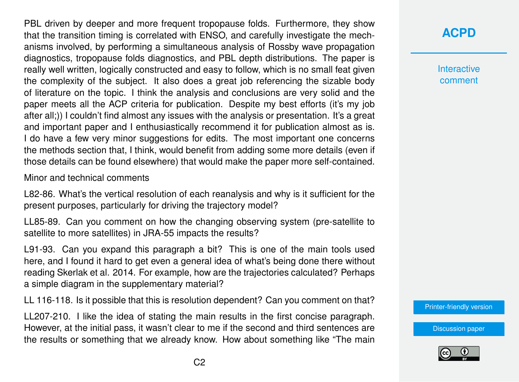PBL driven by deeper and more frequent tropopause folds. Furthermore, they show that the transition timing is correlated with ENSO, and carefully investigate the mechanisms involved, by performing a simultaneous analysis of Rossby wave propagation diagnostics, tropopause folds diagnostics, and PBL depth distributions. The paper is really well written, logically constructed and easy to follow, which is no small feat given the complexity of the subject. It also does a great job referencing the sizable body of literature on the topic. I think the analysis and conclusions are very solid and the paper meets all the ACP criteria for publication. Despite my best efforts (it's my job after all;)) I couldn't find almost any issues with the analysis or presentation. It's a great and important paper and I enthusiastically recommend it for publication almost as is. I do have a few very minor suggestions for edits. The most important one concerns the methods section that, I think, would benefit from adding some more details (even if those details can be found elsewhere) that would make the paper more self-contained.

Minor and technical comments

L82-86. What's the vertical resolution of each reanalysis and why is it sufficient for the present purposes, particularly for driving the trajectory model?

LL85-89. Can you comment on how the changing observing system (pre-satellite to satellite to more satellites) in JRA-55 impacts the results?

L91-93. Can you expand this paragraph a bit? This is one of the main tools used here, and I found it hard to get even a general idea of what's being done there without reading Skerlak et al. 2014. For example, how are the trajectories calculated? Perhaps a simple diagram in the supplementary material?

LL 116-118. Is it possible that this is resolution dependent? Can you comment on that?

LL207-210. I like the idea of stating the main results in the first concise paragraph. However, at the initial pass, it wasn't clear to me if the second and third sentences are the results or something that we already know. How about something like "The main

## **[ACPD](https://acp.copernicus.org/preprints/)**

**Interactive** comment

[Printer-friendly version](https://acp.copernicus.org/preprints/acp-2020-604/acp-2020-604-RC2-print.pdf)

[Discussion paper](https://acp.copernicus.org/preprints/acp-2020-604)